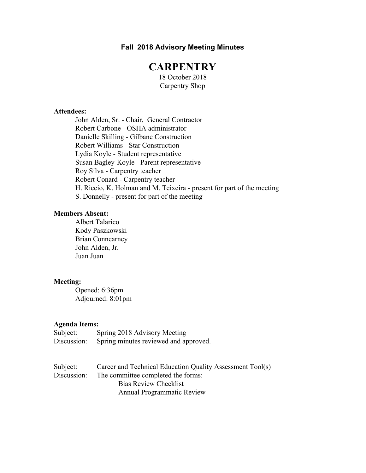# **Fall 2018 Advisory Meeting Minutes**

# **CARPENTRY**

18 October 2018 Carpentry Shop

#### **Attendees:**

John Alden, Sr. - Chair, General Contractor Robert Carbone - OSHA administrator Danielle Skilling - Gilbane Construction Robert Williams - Star Construction Lydia Koyle - Student representative Susan Bagley-Koyle - Parent representative Roy Silva - Carpentry teacher Robert Conard - Carpentry teacher H. Riccio, K. Holman and M. Teixeira - present for part of the meeting S. Donnelly - present for part of the meeting

# **Members Absent:**

Albert Talarico Kody Paszkowski Brian Connearney John Alden, Jr. Juan Juan

#### **Meeting:**

Opened: 6:36pm Adjourned: 8:01pm

#### **Agenda Items:**

| Subject:    | Spring 2018 Advisory Meeting          |
|-------------|---------------------------------------|
| Discussion: | Spring minutes reviewed and approved. |

| Subject:    | Career and Technical Education Quality Assessment Tool(s) |
|-------------|-----------------------------------------------------------|
| Discussion: | The committee completed the forms:                        |
|             | Bias Review Checklist                                     |
|             | <b>Annual Programmatic Review</b>                         |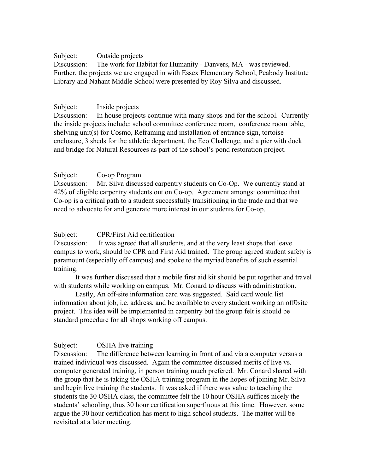#### Subject: Outside projects

Discussion: The work for Habitat for Humanity - Danvers, MA - was reviewed. Further, the projects we are engaged in with Essex Elementary School, Peabody Institute Library and Nahant Middle School were presented by Roy Silva and discussed.

# Subject: Inside projects

Discussion: In house projects continue with many shops and for the school. Currently the inside projects include: school committee conference room, conference room table, shelving unit(s) for Cosmo, Reframing and installation of entrance sign, tortoise enclosure, 3 sheds for the athletic department, the Eco Challenge, and a pier with dock and bridge for Natural Resources as part of the school's pond restoration project.

# Subject: Co-op Program

Discussion: Mr. Silva discussed carpentry students on Co-Op. We currently stand at 42% of eligible carpentry students out on Co-op. Agreement amongst committee that Co-op is a critical path to a student successfully transitioning in the trade and that we need to advocate for and generate more interest in our students for Co-op.

# Subject: CPR/First Aid certification

Discussion: It was agreed that all students, and at the very least shops that leave campus to work, should be CPR and First Aid trained. The group agreed student safety is paramount (especially off campus) and spoke to the myriad benefits of such essential training.

It was further discussed that a mobile first aid kit should be put together and travel with students while working on campus. Mr. Conard to discuss with administration.

Lastly, An off-site information card was suggested. Said card would list information about job, i.e. address, and be available to every student working an off0site project. This idea will be implemented in carpentry but the group felt is should be standard procedure for all shops working off campus.

# Subject: OSHA live training

Discussion: The difference between learning in front of and via a computer versus a trained individual was discussed. Again the committee discussed merits of live vs. computer generated training, in person training much prefered. Mr. Conard shared with the group that he is taking the OSHA training program in the hopes of joining Mr. Silva and begin live training the students. It was asked if there was value to teaching the students the 30 OSHA class, the committee felt the 10 hour OSHA suffices nicely the students' schooling, thus 30 hour certification superfluous at this time. However, some argue the 30 hour certification has merit to high school students. The matter will be revisited at a later meeting.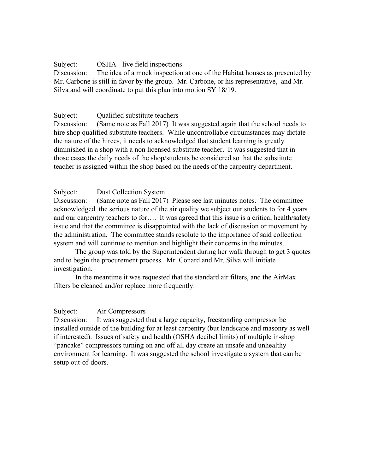# Subject: OSHA - live field inspections

Discussion: The idea of a mock inspection at one of the Habitat houses as presented by Mr. Carbone is still in favor by the group. Mr. Carbone, or his representative, and Mr. Silva and will coordinate to put this plan into motion SY 18/19.

# Subject: Qualified substitute teachers

Discussion: (Same note as Fall 2017) It was suggested again that the school needs to hire shop qualified substitute teachers. While uncontrollable circumstances may dictate the nature of the hirees, it needs to acknowledged that student learning is greatly diminished in a shop with a non licensed substitute teacher. It was suggested that in those cases the daily needs of the shop/students be considered so that the substitute teacher is assigned within the shop based on the needs of the carpentry department.

# Subject: Dust Collection System

Discussion: (Same note as Fall 2017) Please see last minutes notes. The committee acknowledged the serious nature of the air quality we subject our students to for 4 years and our carpentry teachers to for…. It was agreed that this issue is a critical health/safety issue and that the committee is disappointed with the lack of discussion or movement by the administration. The committee stands resolute to the importance of said collection system and will continue to mention and highlight their concerns in the minutes.

The group was told by the Superintendent during her walk through to get 3 quotes and to begin the procurement process. Mr. Conard and Mr. Silva will initiate investigation.

In the meantime it was requested that the standard air filters, and the AirMax filters be cleaned and/or replace more frequently.

# Subject: Air Compressors

Discussion: It was suggested that a large capacity, freestanding compressor be installed outside of the building for at least carpentry (but landscape and masonry as well if interested). Issues of safety and health (OSHA decibel limits) of multiple in-shop "pancake" compressors turning on and off all day create an unsafe and unhealthy environment for learning. It was suggested the school investigate a system that can be setup out-of-doors.